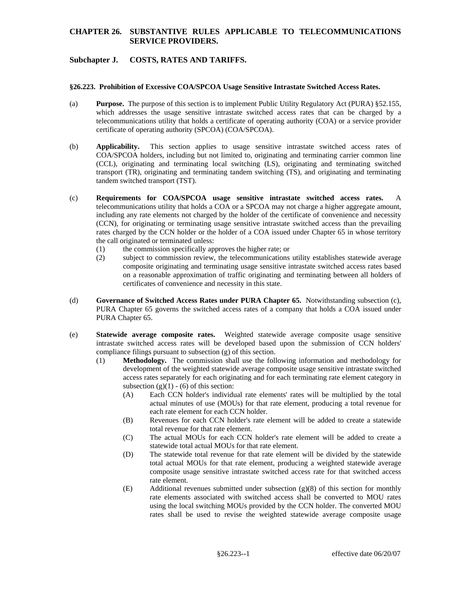## **CHAPTER 26. SUBSTANTIVE RULES APPLICABLE TO TELECOMMUNICATIONS SERVICE PROVIDERS.**

# **Subchapter J. COSTS, RATES AND TARIFFS.**

#### **§26.223. Prohibition of Excessive COA/SPCOA Usage Sensitive Intrastate Switched Access Rates.**

- (a) **Purpose.** The purpose of this section is to implement Public Utility Regulatory Act (PURA) §52.155, which addresses the usage sensitive intrastate switched access rates that can be charged by a telecommunications utility that holds a certificate of operating authority (COA) or a service provider certificate of operating authority (SPCOA) (COA/SPCOA).
- transport (TR), originating and terminating tandem switching (TS), and originating and terminating (b) **Applicability.** This section applies to usage sensitive intrastate switched access rates of COA/SPCOA holders, including but not limited to, originating and terminating carrier common line (CCL), originating and terminating local switching (LS), originating and terminating switched tandem switched transport (TST).
- (c) **Requirements for COA/SPCOA usage sensitive intrastate switched access rates.** A telecommunications utility that holds a COA or a SPCOA may not charge a higher aggregate amount, including any rate elements not charged by the holder of the certificate of convenience and necessity (CCN), for originating or terminating usage sensitive intrastate switched access than the prevailing rates charged by the CCN holder or the holder of a COA issued under Chapter 65 in whose territory the call originated or terminated unless:
	- (1) the commission specifically approves the higher rate; or
	- (2) subject to commission review, the telecommunications utility establishes statewide average composite originating and terminating usage sensitive intrastate switched access rates based on a reasonable approximation of traffic originating and terminating between all holders of certificates of convenience and necessity in this state.
- (d) **Governance of Switched Access Rates under PURA Chapter 65.** Notwithstanding subsection (c), PURA Chapter 65 governs the switched access rates of a company that holds a COA issued under PURA Chapter 65.
- (e) **Statewide average composite rates.** Weighted statewide average composite usage sensitive intrastate switched access rates will be developed based upon the submission of CCN holders' compliance filings pursuant to subsection (g) of this section.
	- subsection  $(g)(1) (6)$  of this section: (1) **Methodology.** The commission shall use the following information and methodology for development of the weighted statewide average composite usage sensitive intrastate switched access rates separately for each originating and for each terminating rate element category in
		- (A) Each CCN holder's individual rate elements' rates will be multiplied by the total actual minutes of use (MOUs) for that rate element, producing a total revenue for each rate element for each CCN holder.
		- (B) Revenues for each CCN holder's rate element will be added to create a statewide total revenue for that rate element.
		- (C) The actual MOUs for each CCN holder's rate element will be added to create a statewide total actual MOUs for that rate element.
		- (D) The statewide total revenue for that rate element will be divided by the statewide total actual MOUs for that rate element, producing a weighted statewide average composite usage sensitive intrastate switched access rate for that switched access rate element.
- rates shall be used to revise the weighted statewide average composite usage<br>  $$26.223--1$  effective date 06/20/07 (E) Additional revenues submitted under subsection  $(g)(8)$  of this section for monthly rate elements associated with switched access shall be converted to MOU rates using the local switching MOUs provided by the CCN holder. The converted MOU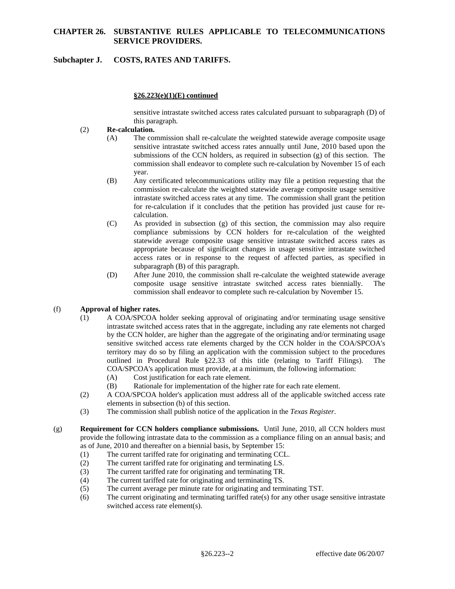## **CHAPTER 26. SUBSTANTIVE RULES APPLICABLE TO TELECOMMUNICATIONS SERVICE PROVIDERS.**

# **Subchapter J. COSTS, RATES AND TARIFFS.**

#### **§26.223(e)(1)(E) continued**

sensitive intrastate switched access rates calculated pursuant to subparagraph (D) of this paragraph.

#### (2) **Re-calculation.**

- (A) The commission shall re-calculate the weighted statewide average composite usage sensitive intrastate switched access rates annually until June, 2010 based upon the submissions of the CCN holders, as required in subsection (g) of this section. The commission shall endeavor to complete such re-calculation by November 15 of each year.
- (B) Any certificated telecommunications utility may file a petition requesting that the commission re-calculate the weighted statewide average composite usage sensitive intrastate switched access rates at any time. The commission shall grant the petition for re-calculation if it concludes that the petition has provided just cause for recalculation.
- (C) As provided in subsection (g) of this section, the commission may also require compliance submissions by CCN holders for re-calculation of the weighted statewide average composite usage sensitive intrastate switched access rates as appropriate because of significant changes in usage sensitive intrastate switched access rates or in response to the request of affected parties, as specified in subparagraph (B) of this paragraph.
- (D) After June 2010, the commission shall re-calculate the weighted statewide average composite usage sensitive intrastate switched access rates biennially. The commission shall endeavor to complete such re-calculation by November 15.

## (f) **Approval of higher rates.**

- territory may do so by filing an application with the commission subject to the procedures COA/SPCOA's application must provide, at a minimum, the following information: (1) A COA/SPCOA holder seeking approval of originating and/or terminating usage sensitive intrastate switched access rates that in the aggregate, including any rate elements not charged by the CCN holder, are higher than the aggregate of the originating and/or terminating usage sensitive switched access rate elements charged by the CCN holder in the COA/SPCOA's outlined in Procedural Rule §22.33 of this title (relating to Tariff Filings). The
	- (A) Cost justification for each rate element.
	- (B) Rationale for implementation of the higher rate for each rate element.
- (2) A COA/SPCOA holder's application must address all of the applicable switched access rate elements in subsection (b) of this section.
- (3) The commission shall publish notice of the application in the *Texas Register*.
- (g) **Requirement for CCN holders compliance submissions.** Until June, 2010, all CCN holders must provide the following intrastate data to the commission as a compliance filing on an annual basis; and as of June, 2010 and thereafter on a biennial basis, by September 15:
	- (1) The current tariffed rate for originating and terminating CCL.
	- (2) The current tariffed rate for originating and terminating LS.
	- (3) The current tariffed rate for originating and terminating TR.
	- (4) The current tariffed rate for originating and terminating TS.
	- (5) The current average per minute rate for originating and terminating TST.
	- (6) The current originating and terminating tariffed rate(s) for any other usage sensitive intrastate switched access rate element(s).